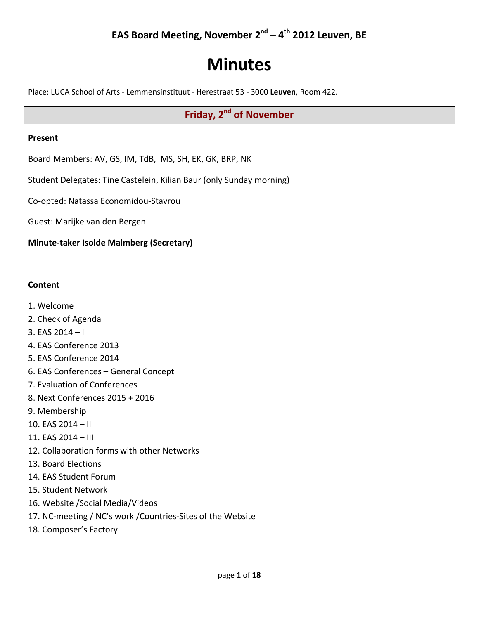# **Minutes**

Place: LUCA School of Arts - Lemmensinstituut - Herestraat 53 - 3000 **Leuven**, Room 422.

## **Friday, 2<sup>nd</sup> of November**

#### **Present**

Board Members: AV, GS, IM, TdB, MS, SH, EK, GK, BRP, NK

Student Delegates: Tine Castelein, Kilian Baur (only Sunday morning)

Co-opted: Natassa Economidou-Stavrou

Guest: Marijke van den Bergen

**Minute-taker Isolde Malmberg (Secretary)**

#### **Content**

- 1. Welcome
- 2. Check of Agenda
- 3. EAS 2014 I
- 4. EAS Conference 2013
- 5. EAS Conference 2014
- 6. EAS Conferences General Concept
- 7. Evaluation of Conferences
- 8. Next Conferences 2015 + 2016
- 9. Membership
- 10. EAS 2014 II
- 11. EAS 2014 III
- 12. Collaboration forms with other Networks
- 13. Board Elections
- 14. EAS Student Forum
- 15. Student Network
- 16. Website /Social Media/Videos
- 17. NC-meeting / NC's work /Countries-Sites of the Website
- 18. Composer's Factory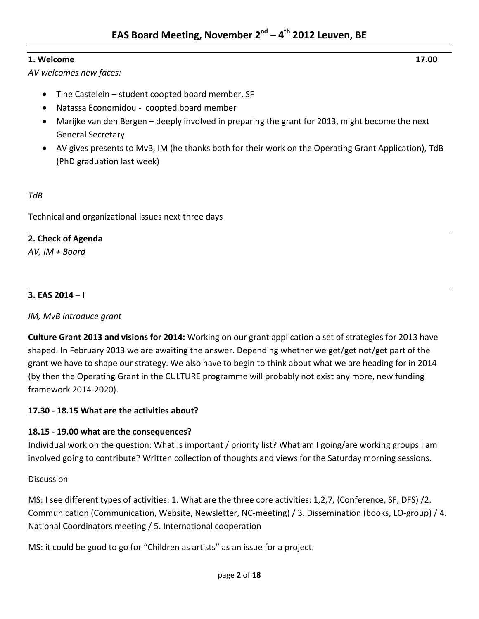## **1. Welcome 17.00**

*AV welcomes new faces:*

- Tine Castelein student coopted board member, SF
- Natassa Economidou coopted board member
- Marijke van den Bergen deeply involved in preparing the grant for 2013, might become the next General Secretary
- AV gives presents to MvB, IM (he thanks both for their work on the Operating Grant Application), TdB (PhD graduation last week)

*TdB*

Technical and organizational issues next three days

## **2. Check of Agenda**

*AV, IM + Board*

## **3. EAS 2014 – I**

## *IM, MvB introduce grant*

**Culture Grant 2013 and visions for 2014:** Working on our grant application a set of strategies for 2013 have shaped. In February 2013 we are awaiting the answer. Depending whether we get/get not/get part of the grant we have to shape our strategy. We also have to begin to think about what we are heading for in 2014 (by then the Operating Grant in the CULTURE programme will probably not exist any more, new funding framework 2014-2020).

## **17.30 - 18.15 What are the activities about?**

## **18.15 - 19.00 what are the consequences?**

Individual work on the question: What is important / priority list? What am I going/are working groups I am involved going to contribute? Written collection of thoughts and views for the Saturday morning sessions.

## Discussion

MS: I see different types of activities: 1. What are the three core activities: 1,2,7, (Conference, SF, DFS) /2. Communication (Communication, Website, Newsletter, NC-meeting) / 3. Dissemination (books, LO-group) / 4. National Coordinators meeting / 5. International cooperation

MS: it could be good to go for "Children as artists" as an issue for a project.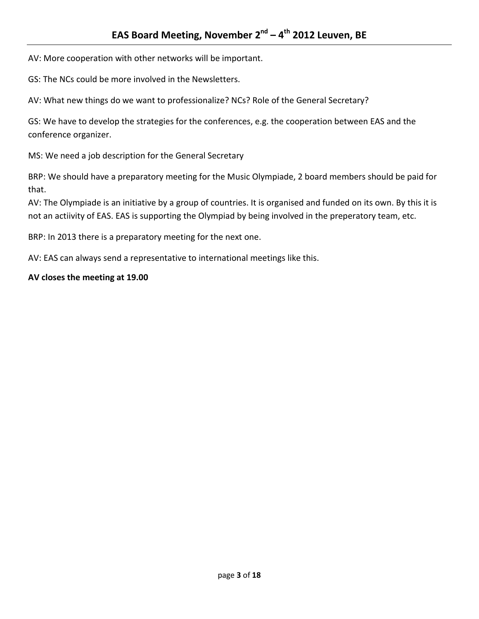AV: More cooperation with other networks will be important.

GS: The NCs could be more involved in the Newsletters.

AV: What new things do we want to professionalize? NCs? Role of the General Secretary?

GS: We have to develop the strategies for the conferences, e.g. the cooperation between EAS and the conference organizer.

MS: We need a job description for the General Secretary

BRP: We should have a preparatory meeting for the Music Olympiade, 2 board members should be paid for that.

AV: The Olympiade is an initiative by a group of countries. It is organised and funded on its own. By this it is not an actiivity of EAS. EAS is supporting the Olympiad by being involved in the preperatory team, etc.

BRP: In 2013 there is a preparatory meeting for the next one.

AV: EAS can always send a representative to international meetings like this.

#### **AV closes the meeting at 19.00**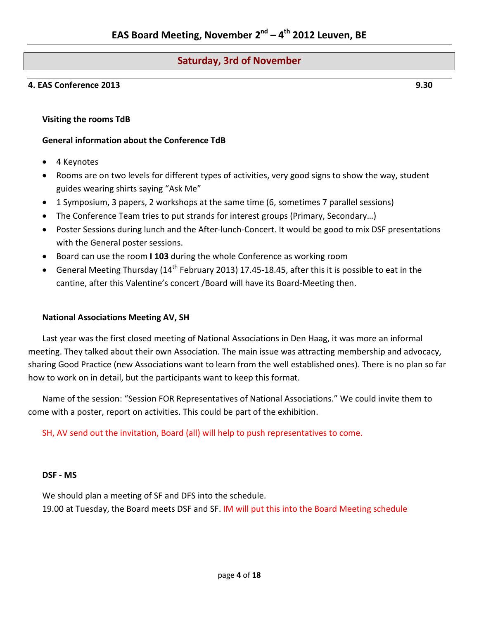## **Saturday, 3rd of November**

#### **4. EAS Conference 2013 9.30**

**Visiting the rooms TdB**

#### **General information about the Conference TdB**

- 4 Keynotes
- Rooms are on two levels for different types of activities, very good signs to show the way, student guides wearing shirts saying "Ask Me"
- 1 Symposium, 3 papers, 2 workshops at the same time (6, sometimes 7 parallel sessions)
- The Conference Team tries to put strands for interest groups (Primary, Secondary…)
- Poster Sessions during lunch and the After-lunch-Concert. It would be good to mix DSF presentations with the General poster sessions.
- Board can use the room **I 103** during the whole Conference as working room
- General Meeting Thursday (14<sup>th</sup> February 2013) 17.45-18.45, after this it is possible to eat in the cantine, after this Valentine's concert /Board will have its Board-Meeting then.

#### **National Associations Meeting AV, SH**

Last year was the first closed meeting of National Associations in Den Haag, it was more an informal meeting. They talked about their own Association. The main issue was attracting membership and advocacy, sharing Good Practice (new Associations want to learn from the well established ones). There is no plan so far how to work on in detail, but the participants want to keep this format.

Name of the session: "Session FOR Representatives of National Associations." We could invite them to come with a poster, report on activities. This could be part of the exhibition.

SH, AV send out the invitation, Board (all) will help to push representatives to come.

#### **DSF - MS**

We should plan a meeting of SF and DFS into the schedule.

19.00 at Tuesday, the Board meets DSF and SF. IM will put this into the Board Meeting schedule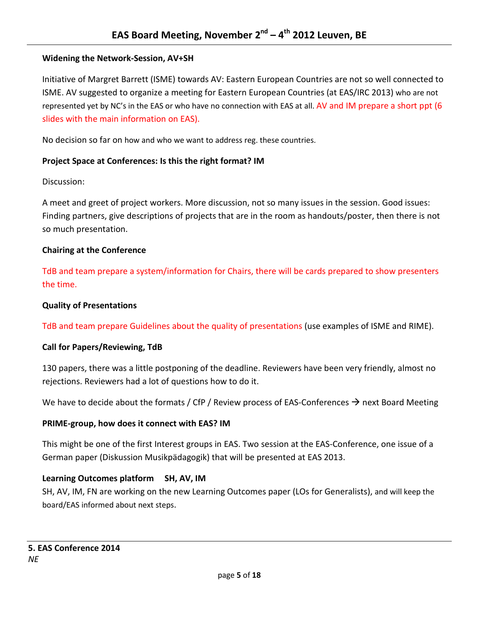## **Widening the Network-Session, AV+SH**

Initiative of Margret Barrett (ISME) towards AV: Eastern European Countries are not so well connected to ISME. AV suggested to organize a meeting for Eastern European Countries (at EAS/IRC 2013) who are not represented yet by NC's in the EAS or who have no connection with EAS at all. AV and IM prepare a short ppt (6 slides with the main information on EAS).

No decision so far on how and who we want to address reg. these countries.

## **Project Space at Conferences: Is this the right format? IM**

#### Discussion:

A meet and greet of project workers. More discussion, not so many issues in the session. Good issues: Finding partners, give descriptions of projects that are in the room as handouts/poster, then there is not so much presentation.

#### **Chairing at the Conference**

TdB and team prepare a system/information for Chairs, there will be cards prepared to show presenters the time.

#### **Quality of Presentations**

TdB and team prepare Guidelines about the quality of presentations (use examples of ISME and RIME).

## **Call for Papers/Reviewing, TdB**

130 papers, there was a little postponing of the deadline. Reviewers have been very friendly, almost no rejections. Reviewers had a lot of questions how to do it.

We have to decide about the formats / CfP / Review process of EAS-Conferences  $\rightarrow$  next Board Meeting

#### **PRIME-group, how does it connect with EAS? IM**

This might be one of the first Interest groups in EAS. Two session at the EAS-Conference, one issue of a German paper (Diskussion Musikpädagogik) that will be presented at EAS 2013.

## **Learning Outcomes platform SH, AV, IM**

SH, AV, IM, FN are working on the new Learning Outcomes paper (LOs for Generalists), and will keep the board/EAS informed about next steps.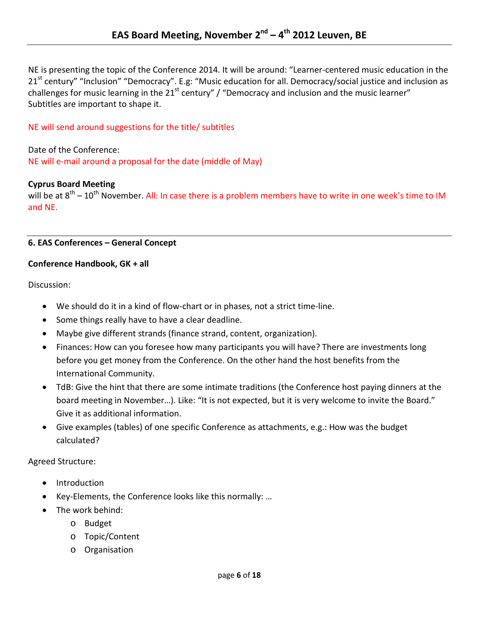NE is presenting the topic of the Conference 2014. It will be around: "Learner-centered music education in the 21<sup>st</sup> century" "Inclusion" "Democracy". E.g: "Music education for all. Democracy/social justice and inclusion as challenges for music learning in the  $21<sup>st</sup>$  century" / "Democracy and inclusion and the music learner" Subtitles are important to shape it.

## NE will send around suggestions for the title/ subtitles

Date of the Conference: NE will e-mail around a proposal for the date (middle of May)

#### **Cyprus Board Meeting**

will be at  $8<sup>th</sup> - 10<sup>th</sup>$  November. All: In case there is a problem members have to write in one week's time to IM and NE.

#### **6. EAS Conferences – General Concept**

#### **Conference Handbook, GK + all**

Discussion:

- We should do it in a kind of flow-chart or in phases, not a strict time-line.
- Some things really have to have a clear deadline.
- Maybe give different strands (finance strand, content, organization).
- Finances: How can you foresee how many participants you will have? There are investments long before you get money from the Conference. On the other hand the host benefits from the International Community.
- TdB: Give the hint that there are some intimate traditions (the Conference host paying dinners at the board meeting in November...). Like: "It is not expected, but it is very welcome to invite the Board." Give it as additional information.
- Give examples (tables) of one specific Conference as attachments, e.g.: How was the budget calculated?

Agreed Structure:

- Introduction
- Key-Elements, the Conference looks like this normally: …
- The work behind:
	- o Budget
	- o Topic/Content
	- o Organisation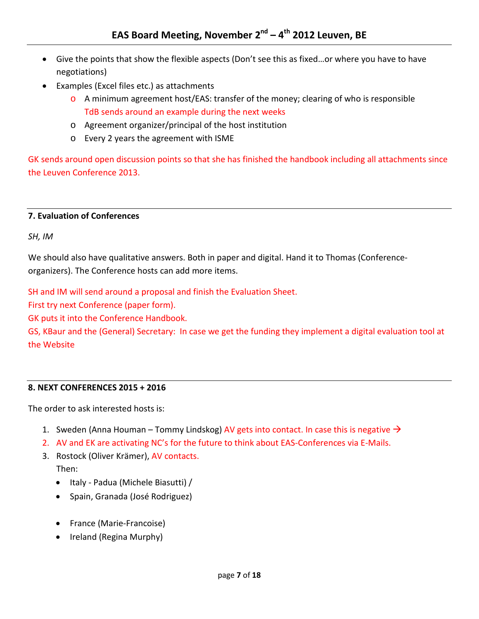- Give the points that show the flexible aspects (Don't see this as fixed…or where you have to have negotiations)
- Examples (Excel files etc.) as attachments
	- $\circ$  A minimum agreement host/EAS: transfer of the money; clearing of who is responsible TdB sends around an example during the next weeks
	- o Agreement organizer/principal of the host institution
	- o Every 2 years the agreement with ISME

GK sends around open discussion points so that she has finished the handbook including all attachments since the Leuven Conference 2013.

#### **7. Evaluation of Conferences**

*SH, IM*

We should also have qualitative answers. Both in paper and digital. Hand it to Thomas (Conferenceorganizers). The Conference hosts can add more items.

SH and IM will send around a proposal and finish the Evaluation Sheet.

First try next Conference (paper form).

GK puts it into the Conference Handbook.

GS, KBaur and the (General) Secretary: In case we get the funding they implement a digital evaluation tool at the Website

## **8. NEXT CONFERENCES 2015 + 2016**

The order to ask interested hosts is:

- 1. Sweden (Anna Houman Tommy Lindskog) AV gets into contact. In case this is negative  $\rightarrow$
- 2. AV and EK are activating NC's for the future to think about EAS-Conferences via E-Mails.
- 3. Rostock (Oliver Krämer), AV contacts. Then:
	- Italy Padua (Michele Biasutti) /
	- Spain, Granada (José Rodriguez)
	- France (Marie-Francoise)
	- Ireland (Regina Murphy)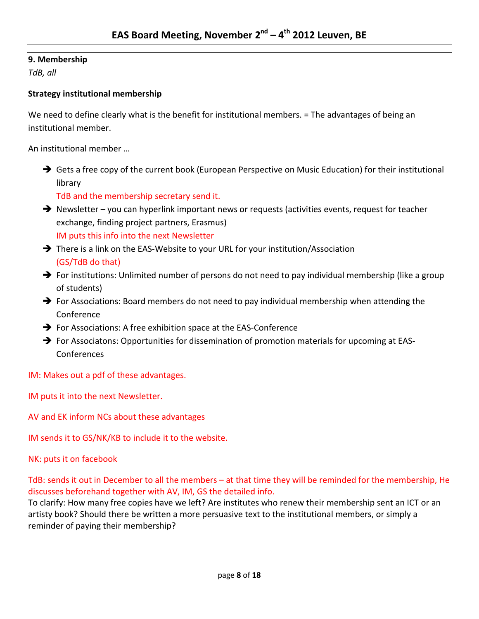## **9. Membership**

*TdB, all*

## **Strategy institutional membership**

We need to define clearly what is the benefit for institutional members. = The advantages of being an institutional member.

An institutional member …

→ Gets a free copy of the current book (European Perspective on Music Education) for their institutional library

TdB and the membership secretary send it.

- → Newsletter you can hyperlink important news or requests (activities events, request for teacher exchange, finding project partners, Erasmus) IM puts this info into the next Newsletter
- → There is a link on the EAS-Website to your URL for your institution/Association (GS/TdB do that)
- $\rightarrow$  For institutions: Unlimited number of persons do not need to pay individual membership (like a group of students)
- $\rightarrow$  For Associations: Board members do not need to pay individual membership when attending the Conference
- For Associations: A free exhibition space at the EAS-Conference
- $\rightarrow$  For Associatons: Opportunities for dissemination of promotion materials for upcoming at EAS-**Conferences**

IM: Makes out a pdf of these advantages.

IM puts it into the next Newsletter.

AV and EK inform NCs about these advantages

IM sends it to GS/NK/KB to include it to the website.

NK: puts it on facebook

TdB: sends it out in December to all the members – at that time they will be reminded for the membership, He discusses beforehand together with AV, IM, GS the detailed info.

To clarify: How many free copies have we left? Are institutes who renew their membership sent an ICT or an artisty book? Should there be written a more persuasive text to the institutional members, or simply a reminder of paying their membership?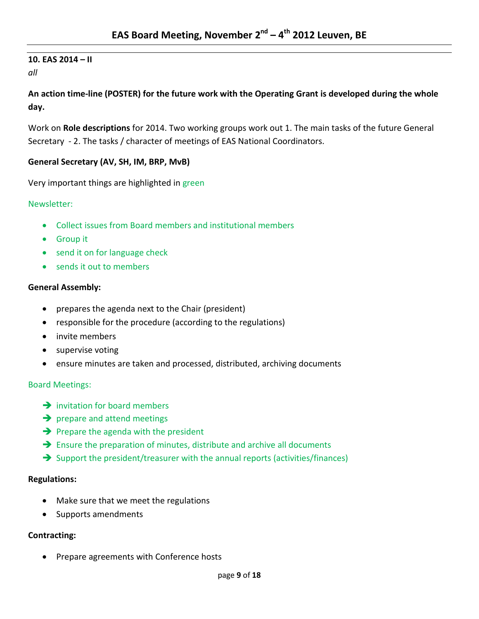# **10. EAS 2014 – II**

*all*

**An action time-line (POSTER) for the future work with the Operating Grant is developed during the whole day.**

Work on **Role descriptions** for 2014. Two working groups work out 1. The main tasks of the future General Secretary - 2. The tasks / character of meetings of EAS National Coordinators.

## **General Secretary (AV, SH, IM, BRP, MvB)**

Very important things are highlighted in green

## Newsletter:

- Collect issues from Board members and institutional members
- Group it
- send it on for language check
- sends it out to members

## **General Assembly:**

- prepares the agenda next to the Chair (president)
- responsible for the procedure (according to the regulations)
- invite members
- supervise voting
- ensure minutes are taken and processed, distributed, archiving documents

## Board Meetings:

- $\rightarrow$  invitation for board members
- $\rightarrow$  prepare and attend meetings
- $\rightarrow$  Prepare the agenda with the president
- $\rightarrow$  Ensure the preparation of minutes, distribute and archive all documents
- $\rightarrow$  Support the president/treasurer with the annual reports (activities/finances)

## **Regulations:**

- Make sure that we meet the regulations
- Supports amendments

## **Contracting:**

• Prepare agreements with Conference hosts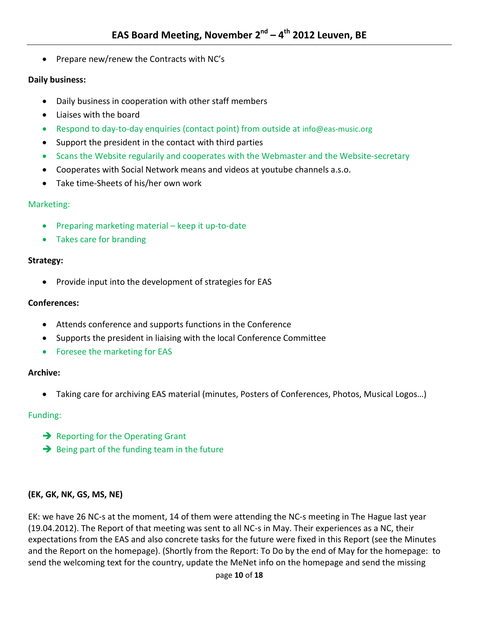• Prepare new/renew the Contracts with NC's

#### **Daily business:**

- Daily business in cooperation with other staff members
- Liaises with the board
- Respond to day-to-day enquiries (contact point) from outside at [info@eas-music.org](mailto:info@eas-music.org)
- Support the president in the contact with third parties
- Scans the Website regularily and cooperates with the Webmaster and the Website-secretary
- Cooperates with Social Network means and videos at youtube channels a.s.o.
- Take time-Sheets of his/her own work

#### Marketing:

- Preparing marketing material keep it up-to-date
- Takes care for branding

#### **Strategy:**

• Provide input into the development of strategies for EAS

#### **Conferences:**

- Attends conference and supports functions in the Conference
- Supports the president in liaising with the local Conference Committee
- Foresee the marketing for EAS

#### **Archive:**

• Taking care for archiving EAS material (minutes, Posters of Conferences, Photos, Musical Logos…)

#### Funding:

- $\rightarrow$  Reporting for the Operating Grant
- $\rightarrow$  Being part of the funding team in the future

#### **(EK, GK, NK, GS, MS, NE)**

EK: we have 26 NC-s at the moment, 14 of them were attending the NC-s meeting in The Hague last year (19.04.2012). The Report of that meeting was sent to all NC-s in May. Their experiences as a NC, their expectations from the EAS and also concrete tasks for the future were fixed in this Report (see the Minutes and the Report on the homepage). (Shortly from the Report: To Do by the end of May for the homepage: to send the welcoming text for the country, update the MeNet info on the homepage and send the missing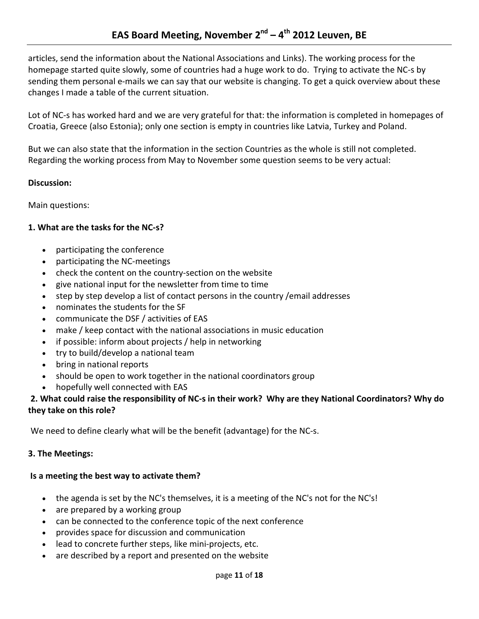articles, send the information about the National Associations and Links). The working process for the homepage started quite slowly, some of countries had a huge work to do. Trying to activate the NC-s by sending them personal e-mails we can say that our website is changing. To get a quick overview about these changes I made a table of the current situation.

Lot of NC-s has worked hard and we are very grateful for that: the information is completed in homepages of Croatia, Greece (also Estonia); only one section is empty in countries like Latvia, Turkey and Poland.

But we can also state that the information in the section Countries as the whole is still not completed. Regarding the working process from May to November some question seems to be very actual:

## **Discussion:**

Main questions:

## **1. What are the tasks for the NC-s?**

- participating the conference
- participating the NC-meetings
- check the content on the country-section on the website
- give national input for the newsletter from time to time
- step by step develop a list of contact persons in the country /email addresses
- nominates the students for the SF
- communicate the DSF / activities of EAS
- make / keep contact with the national associations in music education
- if possible: inform about projects / help in networking
- try to build/develop a national team
- bring in national reports
- should be open to work together in the national coordinators group
- hopefully well connected with EAS

## **2. What could raise the responsibility of NC-s in their work? Why are they National Coordinators? Why do they take on this role?**

We need to define clearly what will be the benefit (advantage) for the NC-s.

## **3. The Meetings:**

## **Is a meeting the best way to activate them?**

- the agenda is set by the NC's themselves, it is a meeting of the NC's not for the NC's!
- are prepared by a working group
- can be connected to the conference topic of the next conference
- provides space for discussion and communication
- lead to concrete further steps, like mini-projects, etc.
- are described by a report and presented on the website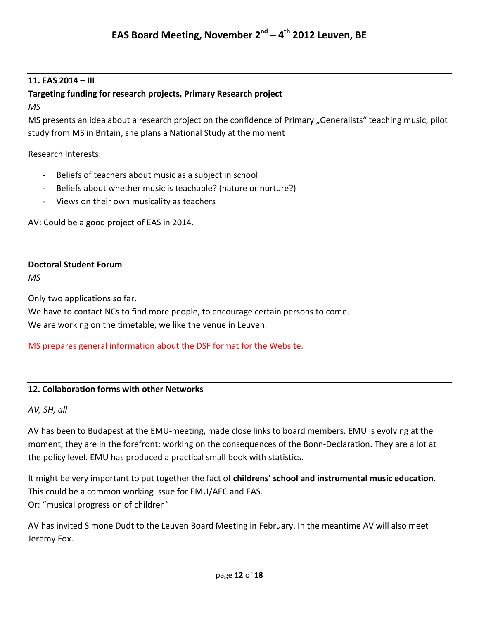## **11. EAS 2014 – III**

## **Targeting funding for research projects, Primary Research project**

*MS*

MS presents an idea about a research project on the confidence of Primary "Generalists" teaching music, pilot study from MS in Britain, she plans a National Study at the moment

Research Interests:

- Beliefs of teachers about music as a subject in school
- Beliefs about whether music is teachable? (nature or nurture?)
- Views on their own musicality as teachers

AV: Could be a good project of EAS in 2014.

## **Doctoral Student Forum**

*MS*

Only two applications so far.

We have to contact NCs to find more people, to encourage certain persons to come. We are working on the timetable, we like the venue in Leuven.

MS prepares general information about the DSF format for the Website.

## **12. Collaboration forms with other Networks**

*AV, SH, all*

AV has been to Budapest at the EMU-meeting, made close links to board members. EMU is evolving at the moment, they are in the forefront; working on the consequences of the Bonn-Declaration. They are a lot at the policy level. EMU has produced a practical small book with statistics.

It might be very important to put together the fact of **childrens' school and instrumental music education**. This could be a common working issue for EMU/AEC and EAS. Or: "musical progression of children"

AV has invited Simone Dudt to the Leuven Board Meeting in February. In the meantime AV will also meet Jeremy Fox.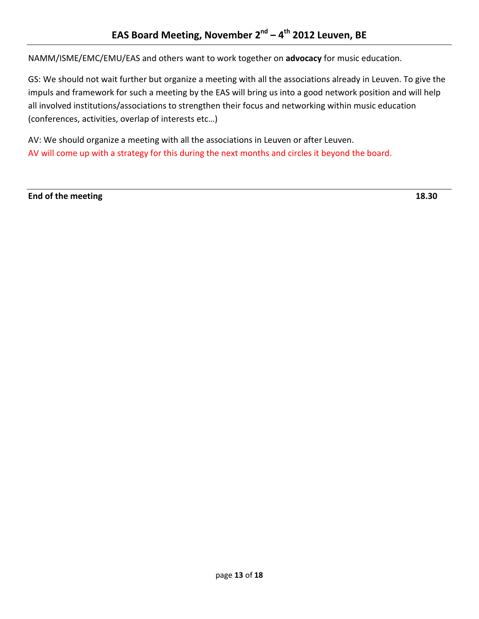NAMM/ISME/EMC/EMU/EAS and others want to work together on **advocacy** for music education.

GS: We should not wait further but organize a meeting with all the associations already in Leuven. To give the impuls and framework for such a meeting by the EAS will bring us into a good network position and will help all involved institutions/associations to strengthen their focus and networking within music education (conferences, activities, overlap of interests etc…)

AV: We should organize a meeting with all the associations in Leuven or after Leuven. AV will come up with a strategy for this during the next months and circles it beyond the board.

**End of the meeting 18.30**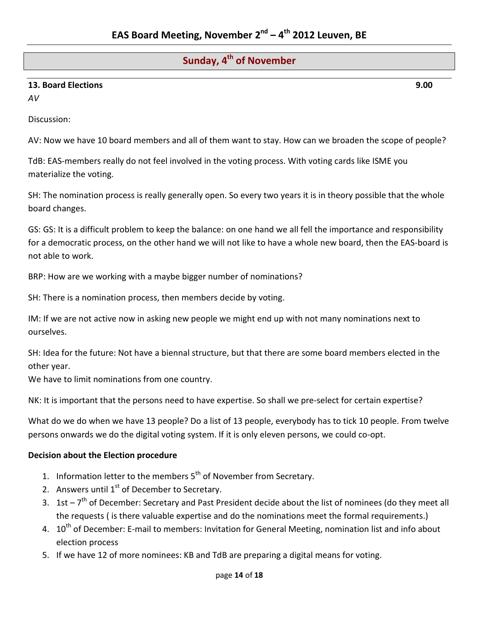## **Sunday, 4th of November**

## **13. Board Elections 9.00**

*AV*

Discussion:

AV: Now we have 10 board members and all of them want to stay. How can we broaden the scope of people?

TdB: EAS-members really do not feel involved in the voting process. With voting cards like ISME you materialize the voting.

SH: The nomination process is really generally open. So every two years it is in theory possible that the whole board changes.

GS: GS: It is a difficult problem to keep the balance: on one hand we all fell the importance and responsibility for a democratic process, on the other hand we will not like to have a whole new board, then the EAS-board is not able to work.

BRP: How are we working with a maybe bigger number of nominations?

SH: There is a nomination process, then members decide by voting.

IM: If we are not active now in asking new people we might end up with not many nominations next to ourselves.

SH: Idea for the future: Not have a biennal structure, but that there are some board members elected in the other year.

We have to limit nominations from one country.

NK: It is important that the persons need to have expertise. So shall we pre-select for certain expertise?

What do we do when we have 13 people? Do a list of 13 people, everybody has to tick 10 people. From twelve persons onwards we do the digital voting system. If it is only eleven persons, we could co-opt.

#### **Decision about the Election procedure**

- 1. Information letter to the members  $5<sup>th</sup>$  of November from Secretary.
- 2. Answers until  $1<sup>st</sup>$  of December to Secretary.
- 3. 1st  $-7<sup>th</sup>$  of December: Secretary and Past President decide about the list of nominees (do they meet all the requests ( is there valuable expertise and do the nominations meet the formal requirements.)
- 4. 10<sup>th</sup> of December: E-mail to members: Invitation for General Meeting, nomination list and info about election process
- 5. If we have 12 of more nominees: KB and TdB are preparing a digital means for voting.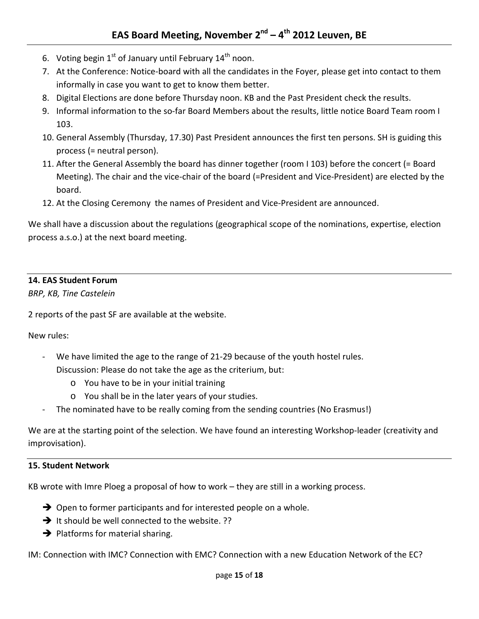- 6. Voting begin  $1^{st}$  of January until February  $14^{th}$  noon.
- 7. At the Conference: Notice-board with all the candidates in the Foyer, please get into contact to them informally in case you want to get to know them better.
- 8. Digital Elections are done before Thursday noon. KB and the Past President check the results.
- 9. Informal information to the so-far Board Members about the results, little notice Board Team room I 103.
- 10. General Assembly (Thursday, 17.30) Past President announces the first ten persons. SH is guiding this process (= neutral person).
- 11. After the General Assembly the board has dinner together (room I 103) before the concert (= Board Meeting). The chair and the vice-chair of the board (=President and Vice-President) are elected by the board.
- 12. At the Closing Ceremony the names of President and Vice-President are announced.

We shall have a discussion about the regulations (geographical scope of the nominations, expertise, election process a.s.o.) at the next board meeting.

## **14. EAS Student Forum**

*BRP, KB, Tine Castelein*

2 reports of the past SF are available at the website.

New rules:

- We have limited the age to the range of 21-29 because of the youth hostel rules. Discussion: Please do not take the age as the criterium, but:
	- o You have to be in your initial training
	- o You shall be in the later years of your studies.
- The nominated have to be really coming from the sending countries (No Erasmus!)

We are at the starting point of the selection. We have found an interesting Workshop-leader (creativity and improvisation).

#### **15. Student Network**

KB wrote with Imre Ploeg a proposal of how to work – they are still in a working process.

- $\rightarrow$  Open to former participants and for interested people on a whole.
- $\rightarrow$  It should be well connected to the website. ??
- $\rightarrow$  Platforms for material sharing.

IM: Connection with IMC? Connection with EMC? Connection with a new Education Network of the EC?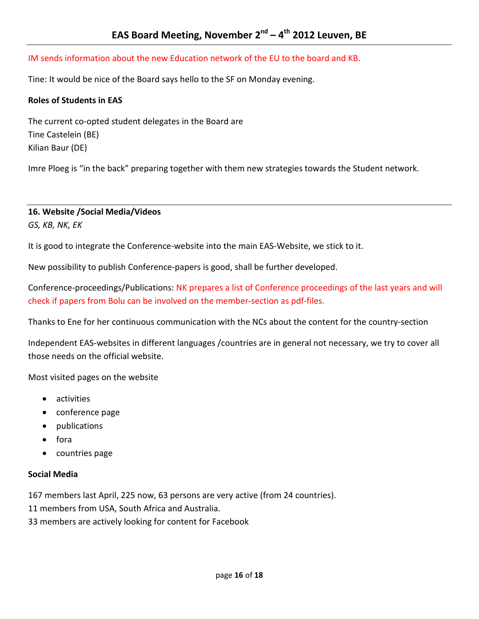#### IM sends information about the new Education network of the EU to the board and KB.

Tine: It would be nice of the Board says hello to the SF on Monday evening.

#### **Roles of Students in EAS**

The current co-opted student delegates in the Board are Tine Castelein (BE) Kilian Baur (DE)

Imre Ploeg is "in the back" preparing together with them new strategies towards the Student network.

# **16. Website /Social Media/Videos**

*GS, KB, NK, EK*

It is good to integrate the Conference-website into the main EAS-Website, we stick to it.

New possibility to publish Conference-papers is good, shall be further developed.

Conference-proceedings/Publications: NK prepares a list of Conference proceedings of the last years and will check if papers from Bolu can be involved on the member-section as pdf-files.

Thanks to Ene for her continuous communication with the NCs about the content for the country-section

Independent EAS-websites in different languages /countries are in general not necessary, we try to cover all those needs on the official website.

Most visited pages on the website

- activities
- conference page
- publications
- fora
- countries page

#### **Social Media**

167 members last April, 225 now, 63 persons are very active (from 24 countries).

11 members from USA, South Africa and Australia.

33 members are actively looking for content for Facebook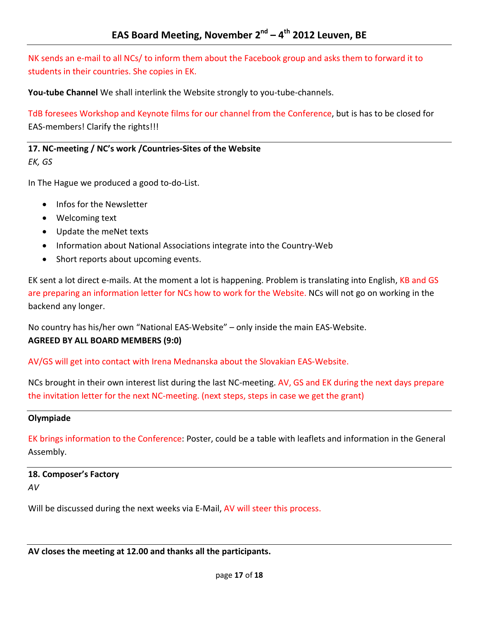NK sends an e-mail to all NCs/ to inform them about the Facebook group and asks them to forward it to students in their countries. She copies in EK.

**You-tube Channel** We shall interlink the Website strongly to you-tube-channels.

TdB foresees Workshop and Keynote films for our channel from the Conference, but is has to be closed for EAS-members! Clarify the rights!!!

**17. NC-meeting / NC's work /Countries-Sites of the Website** *EK, GS*

In The Hague we produced a good to-do-List.

- Infos for the Newsletter
- Welcoming text
- Update the meNet texts
- Information about National Associations integrate into the Country-Web
- Short reports about upcoming events.

EK sent a lot direct e-mails. At the moment a lot is happening. Problem is translating into English, KB and GS are preparing an information letter for NCs how to work for the Website. NCs will not go on working in the backend any longer.

No country has his/her own "National EAS-Website" – only inside the main EAS-Website. **AGREED BY ALL BOARD MEMBERS (9:0)**

AV/GS will get into contact with Irena Mednanska about the Slovakian EAS-Website.

NCs brought in their own interest list during the last NC-meeting. AV, GS and EK during the next days prepare the invitation letter for the next NC-meeting. (next steps, steps in case we get the grant)

#### **Olympiade**

EK brings information to the Conference: Poster, could be a table with leaflets and information in the General Assembly.

**18. Composer's Factory** *AV*

Will be discussed during the next weeks via E-Mail, AV will steer this process.

**AV closes the meeting at 12.00 and thanks all the participants.**